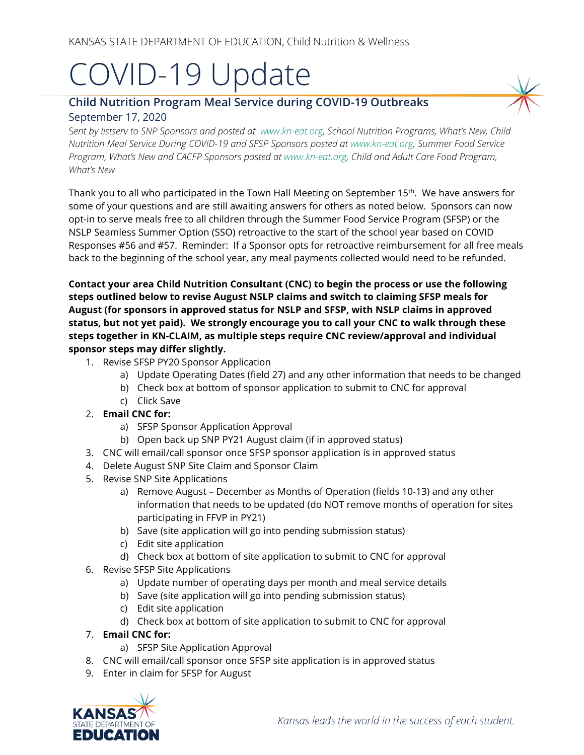# COVID-19 Update

# **Child Nutrition Program Meal Service during COVID-19 Outbreaks** September 17, 2020

S*ent by listserv to SNP Sponsors and posted at [www.kn-eat.org,](http://www.kn-eat.org/) School Nutrition Programs, What's New, Child Nutrition Meal Service During COVID-19 and SFSP Sponsors posted a[t www.kn-eat.org,](http://www.kn-eat.org/) Summer Food Service Program, What's New and CACFP Sponsors posted at [www.kn-eat.org,](http://www.kn-eat.org/) Child and Adult Care Food Program, What's New*

Thank you to all who participated in the Town Hall Meeting on September 15th. We have answers for some of your questions and are still awaiting answers for others as noted below. Sponsors can now opt-in to serve meals free to all children through the Summer Food Service Program (SFSP) or the NSLP Seamless Summer Option (SSO) retroactive to the start of the school year based on COVID Responses #56 and #57. Reminder: If a Sponsor opts for retroactive reimbursement for all free meals back to the beginning of the school year, any meal payments collected would need to be refunded.

**Contact your area Child Nutrition Consultant (CNC) to begin the process or use the following steps outlined below to revise August NSLP claims and switch to claiming SFSP meals for August (for sponsors in approved status for NSLP and SFSP, with NSLP claims in approved status, but not yet paid). We strongly encourage you to call your CNC to walk through these steps together in KN-CLAIM, as multiple steps require CNC review/approval and individual sponsor steps may differ slightly.**

- 1. Revise SFSP PY20 Sponsor Application
	- a) Update Operating Dates (field 27) and any other information that needs to be changed
	- b) Check box at bottom of sponsor application to submit to CNC for approval
	- c) Click Save
- 2. **Email CNC for:**
	- a) SFSP Sponsor Application Approval
	- b) Open back up SNP PY21 August claim (if in approved status)
- 3. CNC will email/call sponsor once SFSP sponsor application is in approved status
- 4. Delete August SNP Site Claim and Sponsor Claim
- 5. Revise SNP Site Applications
	- a) Remove August December as Months of Operation (fields 10-13) and any other information that needs to be updated (do NOT remove months of operation for sites participating in FFVP in PY21)
	- b) Save (site application will go into pending submission status)
	- c) Edit site application
	- d) Check box at bottom of site application to submit to CNC for approval
- 6. Revise SFSP Site Applications
	- a) Update number of operating days per month and meal service details
	- b) Save (site application will go into pending submission status)
	- c) Edit site application
	- d) Check box at bottom of site application to submit to CNC for approval
- 7. **Email CNC for:**
	- a) SFSP Site Application Approval
- 8. CNC will email/call sponsor once SFSP site application is in approved status
- 9. Enter in claim for SFSP for August

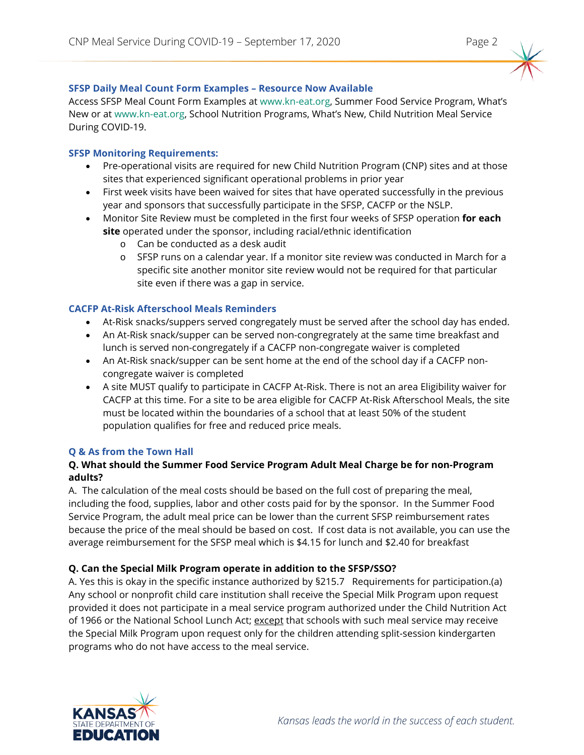

Access SFSP Meal Count Form Examples a[t www.kn-eat.org,](http://www.kn-eat.org/) Summer Food Service Program, What's New or at [www.kn-eat.org,](http://www.kn-eat.org/) School Nutrition Programs, What's New, Child Nutrition Meal Service During COVID-19.

# **SFSP Monitoring Requirements:**

- Pre-operational visits are required for new Child Nutrition Program (CNP) sites and at those sites that experienced significant operational problems in prior year
- First week visits have been waived for sites that have operated successfully in the previous year and sponsors that successfully participate in the SFSP, CACFP or the NSLP.
- Monitor Site Review must be completed in the first four weeks of SFSP operation **for each site** operated under the sponsor, including racial/ethnic identification
	- o Can be conducted as a desk audit
	- o SFSP runs on a calendar year. If a monitor site review was conducted in March for a specific site another monitor site review would not be required for that particular site even if there was a gap in service.

# **CACFP At-Risk Afterschool Meals Reminders**

- At-Risk snacks/suppers served congregately must be served after the school day has ended.
- An At-Risk snack/supper can be served non-congregrately at the same time breakfast and lunch is served non-congregately if a CACFP non-congregate waiver is completed
- An At-Risk snack/supper can be sent home at the end of the school day if a CACFP noncongregate waiver is completed
- A site MUST qualify to participate in CACFP At-Risk. There is not an area Eligibility waiver for CACFP at this time. For a site to be area eligible for CACFP At-Risk Afterschool Meals, the site must be located within the boundaries of a school that at least 50% of the student population qualifies for free and reduced price meals.

# **Q & As from the Town Hall**

### **Q. What should the Summer Food Service Program Adult Meal Charge be for non-Program adults?**

A. The calculation of the meal costs should be based on the full cost of preparing the meal, including the food, supplies, labor and other costs paid for by the sponsor. In the Summer Food Service Program, the adult meal price can be lower than the current SFSP reimbursement rates because the price of the meal should be based on cost. If cost data is not available, you can use the average reimbursement for the SFSP meal which is \$4.15 for lunch and \$2.40 for breakfast

# **Q. Can the Special Milk Program operate in addition to the SFSP/SSO?**

A. Yes this is okay in the specific instance authorized by §215.7 Requirements for participation.(a) Any school or nonprofit child care institution shall receive the Special Milk Program upon request provided it does not participate in a meal service program authorized under the Child Nutrition Act of 1966 or the National School Lunch Act; except that schools with such meal service may receive the Special Milk Program upon request only for the children attending split-session kindergarten programs who do not have access to the meal service.

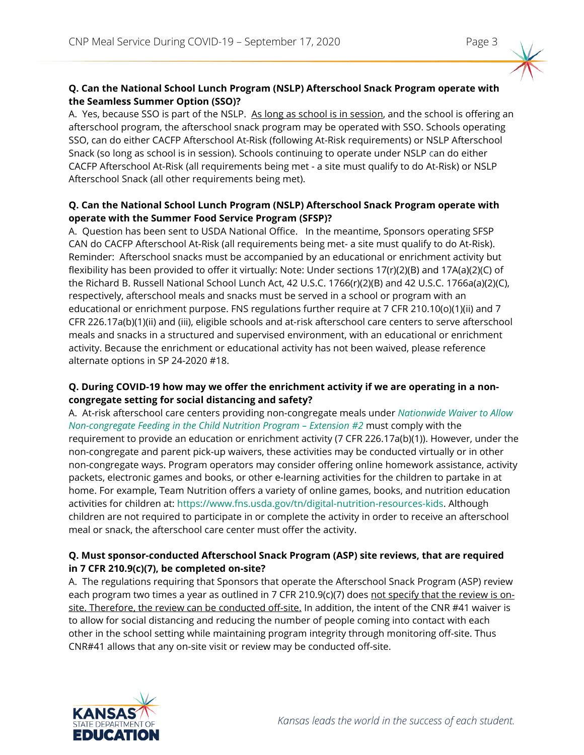# **Q. Can the National School Lunch Program (NSLP) Afterschool Snack Program operate with the Seamless Summer Option (SSO)?**

A. Yes, because SSO is part of the NSLP. As long as school is in session, and the school is offering an afterschool program, the afterschool snack program may be operated with SSO. Schools operating SSO, can do either CACFP Afterschool At-Risk (following At-Risk requirements) or NSLP Afterschool Snack (so long as school is in session). Schools continuing to operate under NSLP can do either CACFP Afterschool At-Risk (all requirements being met - a site must qualify to do At-Risk) or NSLP Afterschool Snack (all other requirements being met).

### **Q. Can the National School Lunch Program (NSLP) Afterschool Snack Program operate with operate with the Summer Food Service Program (SFSP)?**

A. Question has been sent to USDA National Office. In the meantime, Sponsors operating SFSP CAN do CACFP Afterschool At-Risk (all requirements being met- a site must qualify to do At-Risk). Reminder: Afterschool snacks must be accompanied by an educational or enrichment activity but flexibility has been provided to offer it virtually: Note: Under sections 17(r)(2)(B) and 17A(a)(2)(C) of the Richard B. Russell National School Lunch Act, 42 U.S.C. 1766(r)(2)(B) and 42 U.S.C. 1766a(a)(2)(C), respectively, afterschool meals and snacks must be served in a school or program with an educational or enrichment purpose. FNS regulations further require at 7 CFR 210.10(o)(1)(ii) and 7 CFR 226.17a(b)(1)(ii) and (iii), eligible schools and at-risk afterschool care centers to serve afterschool meals and snacks in a structured and supervised environment, with an educational or enrichment activity. Because the enrichment or educational activity has not been waived, please reference alternate options in SP 24-2020 #18.

### **Q. During COVID-19 how may we offer the enrichment activity if we are operating in a noncongregate setting for social distancing and safety?**

A. At-risk afterschool care centers providing non-congregate meals under *[Nationwide Waiver to Allow](https://gcc02.safelinks.protection.outlook.com/?url=https%3A%2F%2Fwww.fns.usda.gov%2Fcn%2FNationwide-Waiver-extension2-Non-congregate-Feeding-Child-Nutrition-Programs&data=02%7C01%7C%7Cf38c1c06874c4e51ae1908d85a610d4d%7Ced5b36e701ee4ebc867ee03cfa0d4697%7C0%7C0%7C637358720164767829&sdata=8sNMqIUI8qgsGQ%2B%2FuNa%2F%2Bl0jVEKATqB24%2FBYx3af%2Ba0%3D&reserved=0)  Non-congregate [Feeding in the Child Nutrition Program –](https://gcc02.safelinks.protection.outlook.com/?url=https%3A%2F%2Fwww.fns.usda.gov%2Fcn%2FNationwide-Waiver-extension2-Non-congregate-Feeding-Child-Nutrition-Programs&data=02%7C01%7C%7Cf38c1c06874c4e51ae1908d85a610d4d%7Ced5b36e701ee4ebc867ee03cfa0d4697%7C0%7C0%7C637358720164767829&sdata=8sNMqIUI8qgsGQ%2B%2FuNa%2F%2Bl0jVEKATqB24%2FBYx3af%2Ba0%3D&reserved=0) Extension #2* must comply with the requirement to provide an education or enrichment activity (7 CFR 226.17a(b)(1)). However, under the non-congregate and parent pick-up waivers, these activities may be conducted virtually or in other non-congregate ways. Program operators may consider offering online homework assistance, activity packets, electronic games and books, or other e-learning activities for the children to partake in at home. For example, Team Nutrition offers a variety of online games, books, and nutrition education activities for children at: [https://www.fns.usda.gov/tn/digital-nutrition-resources-kids.](https://gcc02.safelinks.protection.outlook.com/?url=https%3A%2F%2Fwww.fns.usda.gov%2Ftn%2Fdigital-nutrition-resources-kids&data=02%7C01%7C%7Cf38c1c06874c4e51ae1908d85a610d4d%7Ced5b36e701ee4ebc867ee03cfa0d4697%7C0%7C0%7C637358720164777789&sdata=YAMbitWfqCOOaEVJ4FJEw2iFtZQxz4q1XXS8JWNEM2Q%3D&reserved=0) Although children are not required to participate in or complete the activity in order to receive an afterschool meal or snack, the afterschool care center must offer the activity.

# **Q. Must sponsor-conducted Afterschool Snack Program (ASP) site reviews, that are required in 7 CFR 210.9(c)(7), be completed on-site?**

A. The regulations requiring that Sponsors that operate the Afterschool Snack Program (ASP) review each program two times a year as outlined in 7 CFR 210.9(c)(7) does not specify that the review is onsite. Therefore, the review can be conducted off-site. In addition, the intent of the CNR #41 waiver is to allow for social distancing and reducing the number of people coming into contact with each other in the school setting while maintaining program integrity through monitoring off-site. Thus CNR#41 allows that any on-site visit or review may be conducted off-site.